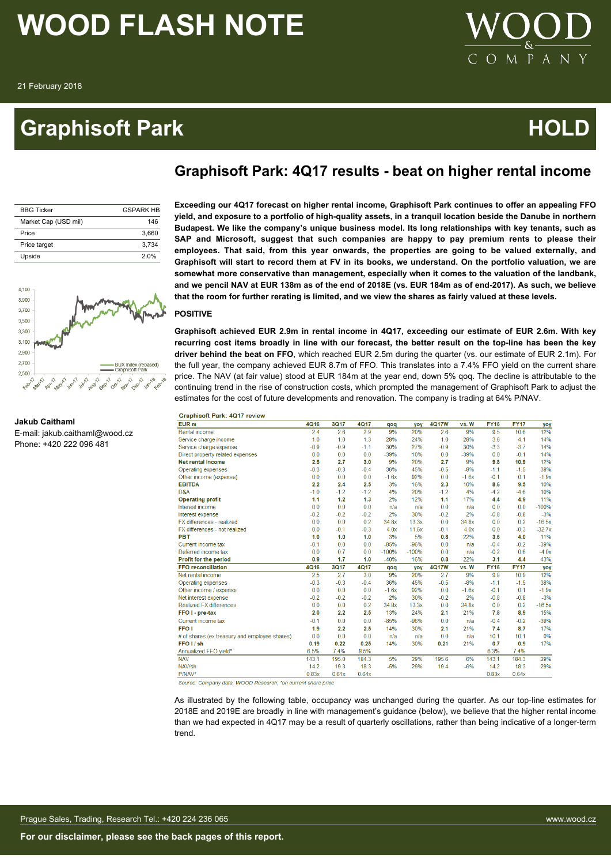# **Graphisoft Park Community Community Community Community Community Community Community Community Community Community**



| <b>BBG Ticker</b>    | <b>GSPARK HR</b> |
|----------------------|------------------|
| Market Cap (USD mil) | 146              |
| Price                | 3.660            |
| Price target         | 3.734            |
| Upside               | 20%              |
|                      |                  |



**Graphisoft Park: 4Q17 results - beat on higher rental income**

### **POSITIVE**

**Graphisoft achieved EUR 2.9m in rental income in 4Q17, exceeding our estimate of EUR 2.6m. With key recurring cost items broadly in line with our forecast, the better result on the top-line has been the key driver behind the beat on FFO**, which reached EUR 2.5m during the quarter (vs. our estimate of EUR 2.1m). For the full year, the company achieved EUR 8.7m of FFO. This translates into a 7.4% FFO yield on the current share price. The NAV (at fair value) stood at EUR 184m at the year end, down 5% qoq. The decline is attributable to the continuing trend in the rise of construction costs, which prompted the management of Graphisoft Park to adjust the estimates for the cost of future developments and renovation. The company is trading at 64% P/NAV.

| <b>Graphisoft Park: 4Q17 review</b>           |        |             |        |         |         |              |         |             |             |         |
|-----------------------------------------------|--------|-------------|--------|---------|---------|--------------|---------|-------------|-------------|---------|
| EUR <sub>m</sub>                              | 4Q16   | <b>3Q17</b> | 4Q17   | qoq     | yoy     | <b>4Q17W</b> | vs. W   | <b>FY16</b> | <b>FY17</b> | yo)     |
| Rental income                                 | 2.4    | 2.6         | 2.9    | 9%      | 20%     | 2.6          | 9%      | 9.5         | 10.6        | 12%     |
| Service charge income                         | 1.0    | 1.0         | 1.3    | 28%     | 24%     | 1.0          | 28%     | 3.6         | 4.1         | 14%     |
| Service charge expense                        | $-0.9$ | $-0.9$      | $-1.1$ | 30%     | 27%     | $-0.9$       | 30%     | $-3.3$      | $-3.7$      | 14%     |
| Direct property related expenses              | 0.0    | 0.0         | 0.0    | $-39%$  | 10%     | 0.0          | $-39%$  | 0.0         | $-0.1$      | 14%     |
| Net rental income                             | 2.5    | 2.7         | 3.0    | 9%      | 20%     | 2.7          | 9%      | 9.8         | 10.9        | 12%     |
| Operating expenses                            | $-0.3$ | $-0.3$      | $-0.4$ | 36%     | 45%     | $-0.5$       | $-8%$   | $-1.1$      | $-1.5$      | 38%     |
| Other income (expense)                        | 0.0    | 0.0         | 0.0    | $-1.6x$ | 92%     | 0.0          | $-1.6x$ | $-0.1$      | 0.1         | $-1.9$  |
| <b>EBITDA</b>                                 | 2.2    | 2.4         | 2.5    | 3%      | 16%     | 2.3          | 10%     | 8.6         | 9.5         | 10%     |
| D&A                                           | $-1.0$ | $-1.2$      | $-1.2$ | 4%      | 20%     | $-1.2$       | 4%      | $-4.2$      | $-4.6$      | 10%     |
| <b>Operating profit</b>                       | 1.1    | 1.2         | 1.3    | 2%      | 12%     | 1.1          | 17%     | 4.4         | 4.9         | 11%     |
| Interest income                               | 0.0    | 0.0         | 0.0    | n/a     | n/a     | 0.0          | n/a     | 0.0         | 0.0         | $-100%$ |
| Interest expense                              | $-0.2$ | $-0.2$      | $-0.2$ | 2%      | 30%     | $-0.2$       | 2%      | $-0.8$      | $-0.8$      | $-3%$   |
| FX differences - realized                     | 0.0    | 0.0         | 0.2    | 34.8x   | 13.3x   | 0.0          | 34.8x   | 0.0         | 0.2         | $-16.5$ |
| FX differences - not realized                 | 0.0    | $-0.1$      | $-0.3$ | 4.0x    | 11.6x   | $-0.1$       | 4.0x    | 0.0         | $-0.3$      | $-32.7$ |
| <b>PBT</b>                                    | 1.0    | 1.0         | 1.0    | 3%      | 5%      | 0.8          | 22%     | 3.6         | 4.0         | 11%     |
| Current income tax                            | $-0.1$ | 0.0         | 0.0    | $-85%$  | $-96%$  | 0.0          | n/a     | $-0.4$      | $-0.2$      | $-39%$  |
| Deferred income tax                           | 0.0    | 0.7         | 0.0    | $-100%$ | $-100%$ | 0.0          | n/a     | $-0.2$      | 0.6         | $-4.0$  |
| <b>Profit for the period</b>                  | 0.9    | 1.7         | 1.0    | $-40%$  | 16%     | 0.8          | 22%     | 3.1         | 4.4         | 43%     |
| <b>FFO reconciliation</b>                     | 4Q16   | 3Q17        | 4Q17   | qoq     | yoy     | 4Q17W        | vs. W   | <b>FY16</b> | <b>FY17</b> | yo)     |
| Net rental income                             | 2.5    | 2.7         | 3.0    | 9%      | 20%     | 2.7          | 9%      | 9.8         | 10.9        | 12%     |
| Operating expenses                            | $-0.3$ | $-0.3$      | $-0.4$ | 36%     | 45%     | $-0.5$       | $-8%$   | $-1.1$      | $-1.5$      | 38%     |
| Other income / expense                        | 0.0    | 0.0         | 0.0    | $-1.6x$ | 92%     | 0.0          | $-1.6x$ | $-0.1$      | 0.1         | $-1.9$  |
| Net interest expense                          | $-0.2$ | $-0.2$      | $-0.2$ | 2%      | 30%     | $-0.2$       | 2%      | $-0.8$      | $-0.8$      | $-3%$   |
| <b>Realized FX differences</b>                | 0.0    | 0.0         | 0.2    | 34.8x   | 13.3x   | 0.0          | 34.8x   | 0.0         | 0.2         | $-16.5$ |
| FFO I - pre-tax                               | 2.0    | 2.2         | 2.5    | 13%     | 24%     | 2.1          | 21%     | 7.8         | 8.9         | 15%     |
| Current income tax                            | $-0.1$ | 0.0         | 0.0    | $-85%$  | $-96%$  | 0.0          | n/a     | $-0.4$      | $-0.2$      | $-39%$  |
| FFO <sub>1</sub>                              | 1.9    | 2.2         | 2.5    | 14%     | 30%     | 2.1          | 21%     | 7.4         | 8.7         | 17%     |
| # of shares (ex.treasury and employee shares) | 0.0    | 0.0         | 0.0    | n/a     | n/a     | 0.0          | n/a     | 10.1        | 10.1        | 0%      |
| FFO <sub>I</sub> sh                           | 0.19   | 0.22        | 0.25   | 14%     | 30%     | 0.21         | 21%     | 0.7         | 0.9         | 17%     |
| Annualized FFO yield*                         | 6.5%   | 7.4%        | 8.5%   |         |         |              |         | 6.3%        | 7.4%        |         |
| <b>NAV</b>                                    | 143.1  | 195.0       | 184.3  | $-5%$   | 29%     | 195.6        | $-6%$   | 143.1       | 184.3       | 29%     |
| NAV/sh                                        | 14.2   | 19.3        | 18.3   | $-5%$   | 29%     | 19.4         | $-6%$   | 14.2        | 18.3        | 29%     |
| P/NAV*                                        | 0.83x  | 0.61x       | 0.64x  |         |         |              |         | 0.83x       | 0.64x       |         |

Source: Company data, WOOD Research; \*on current share price

As illustrated by the following table, occupancy was unchanged during the quarter. As our top-line estimates for 2018E and 2019E are broadly in line with management's guidance (below), we believe that the higher rental income than we had expected in 4Q17 may be a result of quarterly oscillations, rather than being indicative of a longer-term trend.



### **Jakub Caithaml** E-mail: jakub.caithaml@wood.cz Phone: +420 222 096 481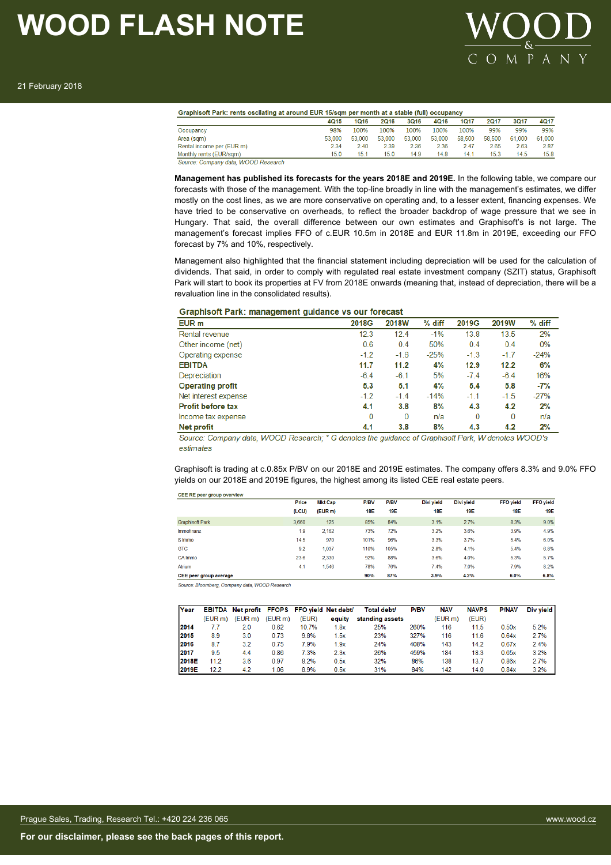

|                           | 4Q15   | <b>1Q16</b> | 2Q16   | <b>3Q16</b> | 4Q16   | 1017   | <b>2Q17</b> | <b>3Q17</b> | 4Q17   |
|---------------------------|--------|-------------|--------|-------------|--------|--------|-------------|-------------|--------|
| Occupancy                 | 98%    | 100%        | 100%   | 100%        | 100%   | 100%   | 99%         | 99%         | 99%    |
| Area (sqm)                | 53.000 | 53.000      | 53,000 | 53,000      | 53,000 | 58.500 | 58.500      | 61.000      | 61,000 |
| Rental income per (EUR m) | 2.34   | 2.40        | 2.39   | 2.36        | 2.36   | 2.47   | 2.65        | 2.63        | 2.87   |
| Monthly rents (EUR/sqm)   | 15.0   | 15.1        | 15.0   | 14.9        | 14.8   | 14.1   | 15.3        | 14.5        | 15.8   |

**Management has published its forecasts for the years 2018E and 2019E.** In the following table, we compare our forecasts with those of the management. With the top-line broadly in line with the management's estimates, we differ mostly on the cost lines, as we are more conservative on operating and, to a lesser extent, financing expenses. We have tried to be conservative on overheads, to reflect the broader backdrop of wage pressure that we see in Hungary. That said, the overall difference between our own estimates and Graphisoft's is not large. The management's forecast implies FFO of c.EUR 10.5m in 2018E and EUR 11.8m in 2019E, exceeding our FFO forecast by 7% and 10%, respectively.

Management also highlighted that the financial statement including depreciation will be used for the calculation of dividends. That said, in order to comply with regulated real estate investment company (SZIT) status, Graphisoft Park will start to book its properties at FV from 2018E onwards (meaning that, instead of depreciation, there will be a revaluation line in the consolidated results).

#### Graphisoft Park: management guidance vs our forecast

| EUR <sub>m</sub>         | 2018G    | <b>2018W</b> | % diff | 2019G  | 2019W    | % diff |
|--------------------------|----------|--------------|--------|--------|----------|--------|
| Rental revenue           | 12.3     | 12.4         | $-1%$  | 13.8   | 13.5     | 2%     |
| Other income (net)       | 0.6      | 0.4          | 50%    | 0.4    | 0.4      | 0%     |
| Operating expense        | $-1.2$   | $-1.6$       | $-25%$ | $-1.3$ | $-1.7$   | $-24%$ |
| <b>EBITDA</b>            | 11.7     | 11.2         | 4%     | 12.9   | 12.2     | 6%     |
| Depreciation             | $-6.4$   | $-6.1$       | 5%     | $-7.4$ | $-6.4$   | 16%    |
| <b>Operating profit</b>  | 5.3      | 5.1          | 4%     | 5.4    | 5.8      | $-7%$  |
| Net interest expense     | $-1.2$   | $-1.4$       | $-14%$ | $-1.1$ | $-1.5$   | $-27%$ |
| <b>Profit before tax</b> | 4.1      | 3.8          | 8%     | 4.3    | 4.2      | 2%     |
| Income tax expense       | $\bf{0}$ | $\bf{0}$     | n/a    | 0      | $\bf{0}$ | n/a    |
| Net profit               | 4.1      | 3.8          | 8%     | 4.3    | 4.2      | 2%     |

Source: Company data, WOOD Research; \* G denotes the guidance of Graphisoft Park, W denotes WOOD's estimates

Graphisoft is trading at c.0.85x P/BV on our 2018E and 2019E estimates. The company offers 8.3% and 9.0% FFO yields on our 2018E and 2019E figures, the highest among its listed CEE real estate peers.

| CEE RE peer group overview |       |                |             |             |            |            |                  |                  |
|----------------------------|-------|----------------|-------------|-------------|------------|------------|------------------|------------------|
|                            | Price | <b>Mkt Cap</b> | <b>P/BV</b> | <b>P/BV</b> | Divi vield | Divi vield | <b>FFO</b> vield | <b>FFO</b> vield |
|                            | (LCU) | (EUR m)        | 18E         | <b>19E</b>  | <b>18E</b> | <b>19E</b> | <b>18E</b>       | <b>19E</b>       |
| <b>Graphisoft Park</b>     | 3,660 | 125            | 85%         | 84%         | 3.1%       | 2.7%       | 8.3%             | 9.0%             |
| Immofinanz                 | 1.9   | 2.162          | 73%         | 72%         | 3.2%       | 3.6%       | 3.9%             | 4.9%             |
| S Immo                     | 14.5  | 970            | 101%        | 96%         | 3.3%       | 3.7%       | 5.4%             | 6.0%             |
| <b>GTC</b>                 | 9.2   | 1.037          | 110%        | 105%        | 2.8%       | 4.1%       | 5.4%             | 6.8%             |
| CA Immo                    | 23.6  | 2.330          | 92%         | 88%         | 3.6%       | 4.0%       | 5.3%             | 5.7%             |
| Atrium                     | 4.1   | 1.546          | 78%         | 76%         | 7.4%       | 7.0%       | 7.9%             | 8.2%             |
| CEE peer group average     |       |                | 90%         | 87%         | 3.9%       | 4.2%       | 6.0%             | 6.8%             |

Source: Bloomberg, Company data, WOOD Research

| Year  |                     | EBITDA Net profit FFOPS FFO yield Net debt/ |                     |       |        | Total debt/     | <b>P/BV</b> | <b>NAV</b> | <b>NAVPS</b> | <b>P/NAV</b> | Div yield |
|-------|---------------------|---------------------------------------------|---------------------|-------|--------|-----------------|-------------|------------|--------------|--------------|-----------|
|       | (EUR <sub>m</sub> ) | (EUR m)                                     | (EUR <sub>m</sub> ) | (EUR) | equity | standing assets |             | (EUR m)    | (EUR)        |              |           |
| 2014  | 77                  | 2.0                                         | 0.62                | 10.7% | 1.8x   | 25%             | 260%        | 116        | 11.5         | 0.50x        | 5.2%      |
| 2015  | 8.9                 | 3.0                                         | 0.73                | 9.8%  | 1.5x   | 23%             | 327%        | 116        | 11.6         | 0.64x        | 2.7%      |
| 2016  | 8.7                 | 3.2                                         | 0.75                | 7.9%  | 1.9x   | 24%             | 408%        | 143        | 14.2         | 0.67x        | 2.4%      |
| 2017  | 95                  | 44                                          | 0.86                | 7.3%  | 2.3x   | 26%             | 459%        | 184        | 18.3         | 0.65x        | 3.2%      |
| 2018E | 11.2                | 3.6                                         | 0.97                | 8.2%  | 0.5x   | 32%             | 86%         | 138        | 13.7         | 0.86x        | 2.7%      |
| 2019E | 12.2                | 4.2                                         | 1.06                | 8.9%  | 0.5x   | 31%             | 84%         | 142        | 14.0         | 0.84x        | 3.2%      |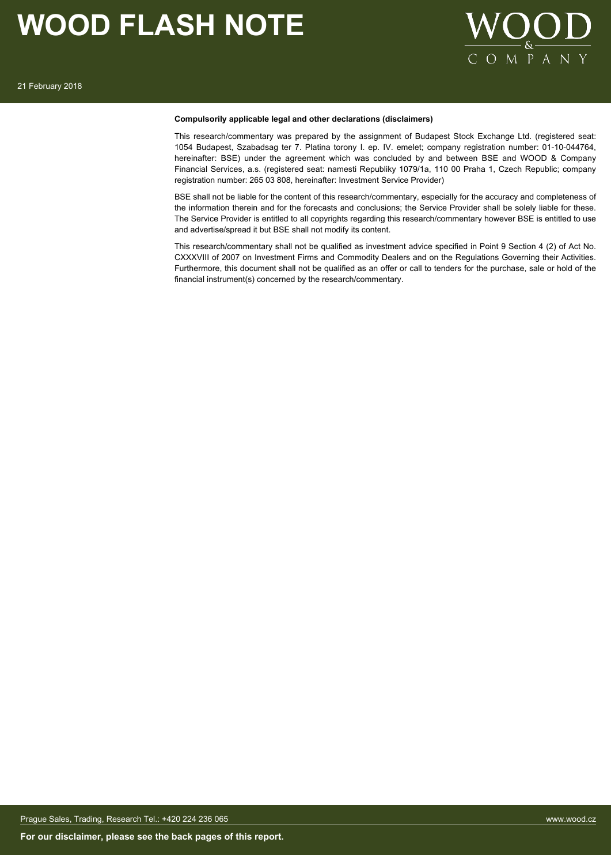

### **Compulsorily applicable legal and other declarations (disclaimers)**

This research/commentary was prepared by the assignment of Budapest Stock Exchange Ltd. (registered seat: 1054 Budapest, Szabadsag ter 7. Platina torony I. ep. IV. emelet; company registration number: 01-10-044764, hereinafter: BSE) under the agreement which was concluded by and between BSE and WOOD & Company Financial Services, a.s. (registered seat: namesti Republiky 1079/1a, 110 00 Praha 1, Czech Republic; company registration number: 265 03 808, hereinafter: Investment Service Provider)

BSE shall not be liable for the content of this research/commentary, especially for the accuracy and completeness of the information therein and for the forecasts and conclusions; the Service Provider shall be solely liable for these. The Service Provider is entitled to all copyrights regarding this research/commentary however BSE is entitled to use and advertise/spread it but BSE shall not modify its content.

This research/commentary shall not be qualified as investment advice specified in Point 9 Section 4 (2) of Act No. CXXXVIII of 2007 on Investment Firms and Commodity Dealers and on the Regulations Governing their Activities. Furthermore, this document shall not be qualified as an offer or call to tenders for the purchase, sale or hold of the financial instrument(s) concerned by the research/commentary.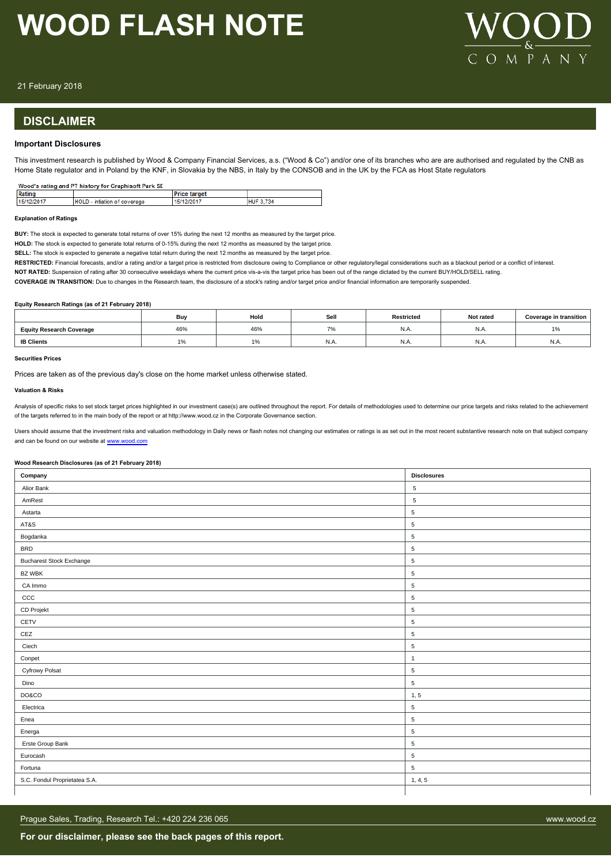

21 February 2018

# **DISCLAIMER**

### **Important Disclosures**

This investment research is published by Wood & Company Financial Services, a.s. ("Wood & Co") and/or one of its branches who are are authorised and regulated by the CNB as Home State regulator and in Poland by the KNF, in Slovakia by the NBS, in Italy by the CONSOB and in the UK by the FCA as Host State regulators

| Wood's rating and PT history for Graphisoft Park SE |                              |                     |                  |  |  |  |  |
|-----------------------------------------------------|------------------------------|---------------------|------------------|--|--|--|--|
| Rating                                              |                              | <b>Price target</b> |                  |  |  |  |  |
| 15/12/2017                                          | HOLD - intiation of coverage | 15/12/2017          | <b>HUF 3.734</b> |  |  |  |  |

#### **Explanation of Ratings**

**BUY:** The stock is expected to generate total returns of over 15% during the next 12 months as measured by the target price.

**HOLD:** The stock is expected to generate total returns of 0-15% during the next 12 months as measured by the target price.

**SELL:** The stock is expected to generate a negative total return during the next 12 months as measured by the target price.

RESTRICTED: Financial forecasts, and/or a rating and/or a target price is restricted from disclosure owing to Compliance or other regulatory/legal considerations such as a blackout period or a conflict of interest.

**NOT RATED:** Suspension of rating after 30 consecutive weekdays where the current price vis-a-vis the target price has been out of the range dictated by the current BUY/HOLD/SELL rating.

**COVERAGE IN TRANSITION:** Due to changes in the Research team, the disclosure of a stock's rating and/or target price and/or financial information are temporarily suspended.

#### **Equity Research Ratings (as of 21 February 2018)**

|                                 | Buv | Hold                     | Sell  | <b>Restricted</b> | Not rated | Coverage in transition |
|---------------------------------|-----|--------------------------|-------|-------------------|-----------|------------------------|
| <b>Equity Research Coverage</b> | 46% | 46%                      |       | IN.A              | N.A       | 10/<br>1/0             |
| <b>IB Clients</b>               |     | $\Delta$ $\Omega$<br>1 % | IN.A. | IN.A.             | IN.A      | N.A.                   |

#### **Securities Prices**

Prices are taken as of the previous day's close on the home market unless otherwise stated.

#### **Valuation & Risks**

Analysis of specific risks to set stock target prices highlighted in our investment case(s) are outlined throughout the report. For details of methodologies used to determine our price targets and risks related to the achi of the targets referred to in the main body of the report or at http://www.wood.cz in the Corporate Governance section.

Users should assume that the investment risks and valuation methodology in Daily news or flash notes not changing our estimates or ratings is as set out in the most recent substantive research note on that subject company and can be found on our website at [www.wood.com](https://research.wood.cz)

#### **Wood Research Disclosures (as of 21 February 2018)**

| Company                         | <b>Disclosures</b> |
|---------------------------------|--------------------|
| Alior Bank                      | 5                  |
| AmRest                          | 5                  |
| Astarta                         | $\,$ 5 $\,$        |
| AT&S                            | 5                  |
| Bogdanka                        | 5                  |
| <b>BRD</b>                      | 5                  |
| <b>Bucharest Stock Exchange</b> | $\,$ 5 $\,$        |
| <b>BZ WBK</b>                   | 5                  |
| CA Immo                         | $\,$ 5 $\,$        |
| ccc                             | $\,$ 5 $\,$        |
| CD Projekt                      | $\,$ 5 $\,$        |
| CETV                            | $\,$ 5 $\,$        |
| CEZ                             | $\sqrt{5}$         |
| Ciech                           | $\,$ 5 $\,$        |
| Conpet                          | $\overline{1}$     |
| Cyfrowy Polsat                  | $\,$ 5 $\,$        |
| Dino                            | $\,$ 5 $\,$        |
| DO&CO                           | 1, 5               |
| Electrica                       | $\,$ 5 $\,$        |
| Enea                            | $\,$ 5 $\,$        |
| Energa                          | $\,$ 5 $\,$        |
| Erste Group Bank                | 5                  |
| Eurocash                        | $\sqrt{5}$         |
| Fortuna                         | 5                  |
| S.C. Fondul Proprietatea S.A.   | 1, 4, 5            |
|                                 |                    |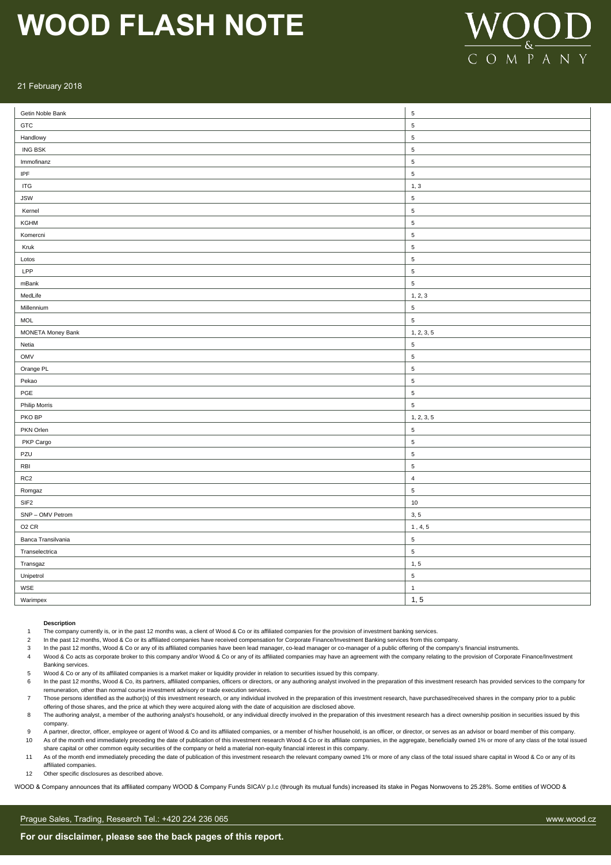

### 21 February 2018

| Getin Noble Bank                  | $\sqrt{5}$     |
|-----------------------------------|----------------|
| GTC                               | $\overline{5}$ |
| Handlowy                          | $\,$ 5 $\,$    |
| <b>ING BSK</b>                    | $\,$ 5 $\,$    |
| Immofinanz                        | $\sqrt{5}$     |
| IPF                               | $\sqrt{5}$     |
| <b>ITG</b>                        | 1, 3           |
| <b>JSW</b>                        | $\,$ 5 $\,$    |
| Kernel                            | $\sqrt{5}$     |
| KGHM                              | $\sqrt{5}$     |
| Komercni                          | $\sqrt{5}$     |
| Kruk                              | $\overline{5}$ |
| Lotos                             | $\,$ 5 $\,$    |
| LPP                               | $\sqrt{5}$     |
| mBank                             | $\sqrt{5}$     |
| MedLife                           | 1, 2, 3        |
| Millennium                        | $\,$ 5 $\,$    |
| <b>MOL</b>                        | $\sqrt{5}$     |
| MONETA Money Bank                 | 1, 2, 3, 5     |
| Netia                             | $\sqrt{5}$     |
| OMV                               | $\sqrt{5}$     |
| Orange PL                         | $\sqrt{5}$     |
| Pekao                             | $\sqrt{5}$     |
| PGE                               | $\,$ 5 $\,$    |
| Philip Morris                     | $\overline{5}$ |
| PKO BP                            | 1, 2, 3, 5     |
| PKN Orlen                         | $\sqrt{5}$     |
| PKP Cargo                         | $\sqrt{5}$     |
| PZU                               | $\sqrt{5}$     |
| $\ensuremath{\mathsf{RB}}\xspace$ | $\,$ 5 $\,$    |
| RC <sub>2</sub>                   | $\overline{4}$ |
| Romgaz                            | $\overline{5}$ |
| SIF <sub>2</sub>                  | $10\,$         |
| SNP - OMV Petrom                  | 3, 5           |
| O <sub>2</sub> CR                 | 1, 4, 5        |
| Banca Transilvania                | $\sqrt{5}$     |
| Transelectrica                    | $\sqrt{5}$     |
| Transgaz                          | 1, 5           |
| Unipetrol                         | $\,$ 5 $\,$    |
| WSE                               | $\mathbf{1}$   |
| Warimpex                          | 1, 5           |

#### **Description**

The company currently is, or in the past 12 months was, a client of Wood & Co or its affiliated companies for the provision of investment banking services.

2 In the past 12 months, Wood & Co or its affiliated companies have received compensation for Corporate Finance/Investment Banking services from this company.

3 In the past 12 months, Wood & Co or any of its affiliated companies have been lead manager, co-lead manager or co-manager of a public offering of the company's financial instruments.

- Wood & Co acts as corporate broker to this company and/or Wood & Co or any of its affiliated companies may have an agreement with the company relating to the provision of Corporate Finance/Investment Banking services.
- 5 Wood & Co or any of its affiliated companies is a market maker or liquidity provider in relation to securities issued by this company.
- 6 In the past 12 months, Wood & Co, its partners, affiliated companies, officers or directors, or any authoring analyst involved in the preparation of this investment research has provided services to the company for remuneration, other than normal course investment advisory or trade execution services.
- 7 Those persons identified as the author(s) of this investment research, or any individual involved in the preparation of this investment research, have purchased/received shares in the company prior to a public offering of those shares, and the price at which they were acquired along with the date of acquisition are disclosed above.
- 8 The authoring analyst, a member of the authoring analyst's household, or any individual directly involved in the preparation of this investment research has a direct ownership position in securities issued by this company.
- 9 A partner, director, officer, employee or agent of Wood & Co and its affiliated companies, or a member of his/her household, is an officer, or director, or serves as an advisor or board member of this company. 10 As of the month end immediately preceding the date of publication of this investment research Wood & Co or its affiliate companies, in the aggregate, beneficially owned 1% or more of any class of the total issued
- share capital or other common equity securities of the company or held a material non-equity financial interest in this company.
- 11 As of the month end immediately preceding the date of publication of this investment research the relevant company owned 1% or more of any class of the total issued share capital in Wood & Co or any of its affiliated companies.

12 Other specific disclosures as described above.

WOOD & Company announces that its affiliated company WOOD & Company Funds SICAV p.l.c (through its mutual funds) increased its stake in Pegas Nonwovens to 25.28%. Some entities of WOOD &

#### Prague Sales, Trading, Research Tel.: +420 224 236 065 www.wood.cz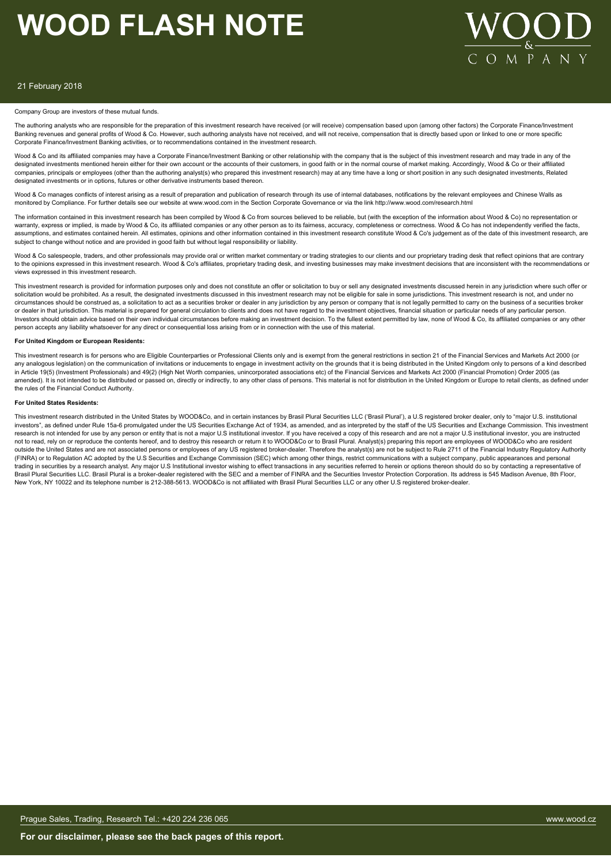

#### 21 February 2018

#### Company Group are investors of these mutual funds.

The authoring analysts who are responsible for the preparation of this investment research have received (or will receive) compensation based upon (among other factors) the Corporate Finance/Investment Banking revenues and general profits of Wood & Co. However, such authoring analysts have not received, and will not receive, compensation that is directly based upon or linked to one or more specific Corporate Finance/Investment Banking activities, or to recommendations contained in the investment research.

Wood & Co and its affiliated companies may have a Corporate Finance/Investment Banking or other relationship with the company that is the subject of this investment research and may trade in any of the designated investments mentioned herein either for their own account or the accounts of their customers, in good faith or in the normal course of market making. Accordingly, Wood & Co or their affiliat companies, principals or employees (other than the authoring analyst(s) who prepared this investment research) may at any time have a long or short position in any such designated investments, Related designated investments or in options, futures or other derivative instruments based thereon.

Wood & Co manages conflicts of interest arising as a result of preparation and publication of research through its use of internal databases, notifications by the relevant employees and Chinese Walls as monitored by Compliance. For further details see our website at www.wood.com in the Section Corporate Governance or via the link http://www.wood.com/research.html

The information contained in this investment research has been compiled by Wood & Co from sources believed to be reliable, but (with the exception of the information about Wood & Co) no representation or warranty, express or implied, is made by Wood & Co, its affiliated companies or any other person as to its fairness, accuracy, completeness or correctness. Wood & Co has not independently verified the facts, assumptions, and estimates contained herein. All estimates, opinions and other information contained in this investment research constitute Wood & Co's judgement as of the date of this investment research, are subject to change without notice and are provided in good faith but without legal responsibility or liability.

Wood & Co salespeople, traders, and other professionals may provide oral or written market commentary or trading strategies to our clients and our proprietary trading desk that reflect opinions that are contrary to the opinions expressed in this investment research. Wood & Co's affiliates, proprietary trading desk, and investing businesses may make investment decisions that are inconsistent with the recommendations or views expressed in this investment research.

This investment research is provided for information purposes only and does not constitute an offer or solicitation to buy or sell any designated investments discussed herein in any jurisdiction where such offer or solicitation would be prohibited. As a result, the designated investments discussed in this investment research may not be eligible for sale in some jurisdictions. This investment research is not, and under no circumstances should be construed as, a solicitation to act as a securities broker or dealer in any jurisdiction by any person or company that is not legally permitted to carry on the business of a securities broker or dealer in that jurisdiction. This material is prepared for general circulation to clients and does not have regard to the investment objectives, financial situation or particular needs of any particular person. Investors should obtain advice based on their own individual circumstances before making an investment decision. To the fullest extent permitted by law, none of Wood & Co, its affiliated companies or any other person accepts any liability whatsoever for any direct or consequential loss arising from or in connection with the use of this material.

#### **For United Kingdom or European Residents:**

This investment research is for persons who are Eligible Counterparties or Professional Clients only and is exempt from the general restrictions in section 21 of the Financial Services and Markets Act 2000 (or any analogous legislation) on the communication of invitations or inducements to engage in investment activity on the grounds that it is being distributed in the United Kingdom only to persons of a kind described in Article 19(5) (Investment Professionals) and 49(2) (High Net Worth companies, unincorporated associations etc) of the Financial Services and Markets Act 2000 (Financial Promotion) Order 2005 (as amended). It is not intended to be distributed or passed on, directly or indirectly, to any other class of persons. This material is not for distribution in the United Kingdom or Europe to retail clients, as defined under the rules of the Financial Conduct Authority.

#### **For United States Residents:**

This investment research distributed in the United States by WOOD&Co, and in certain instances by Brasil Plural Securities LLC ('Brasil Plural'), a U.S registered broker dealer, only to "major U.S. institutional investors", as defined under Rule 15a-6 promulgated under the US Securities Exchange Act of 1934, as amended, and as interpreted by the staff of the US Securities and Exchange Commission. This investment research is not intended for use by any person or entity that is not a major U.S institutional investor. If you have received a copy of this research and are not a major U.S institutional investor, you are instructed<br>not t outside the United States and are not associated persons or employees of any US registered broker-dealer. Therefore the analyst(s) are not be subject to Rule 2711 of the Financial Industry Regulatory Authority (FINRA) or to Regulation AC adopted by the U.S Securities and Exchange Commission (SEC) which among other things, restrict communications with a subject company, public appearances and personal trading in securities by a research analyst. Any major U.S Institutional investor wishing to effect transactions in any securities referred to herein or options thereon should do so by contacting a representative of Brasil Plural Securities LLC. Brasil Plural is a broker-dealer registered with the SEC and a member of FINRA and the Securities Investor Protection Corporation. Its address is 545 Madison Avenue, 8th Floor, New York, NY 10022 and its telephone number is 212-388-5613. WOOD&Co is not affiliated with Brasil Plural Securities LLC or any other U.S registered broker-dealer.